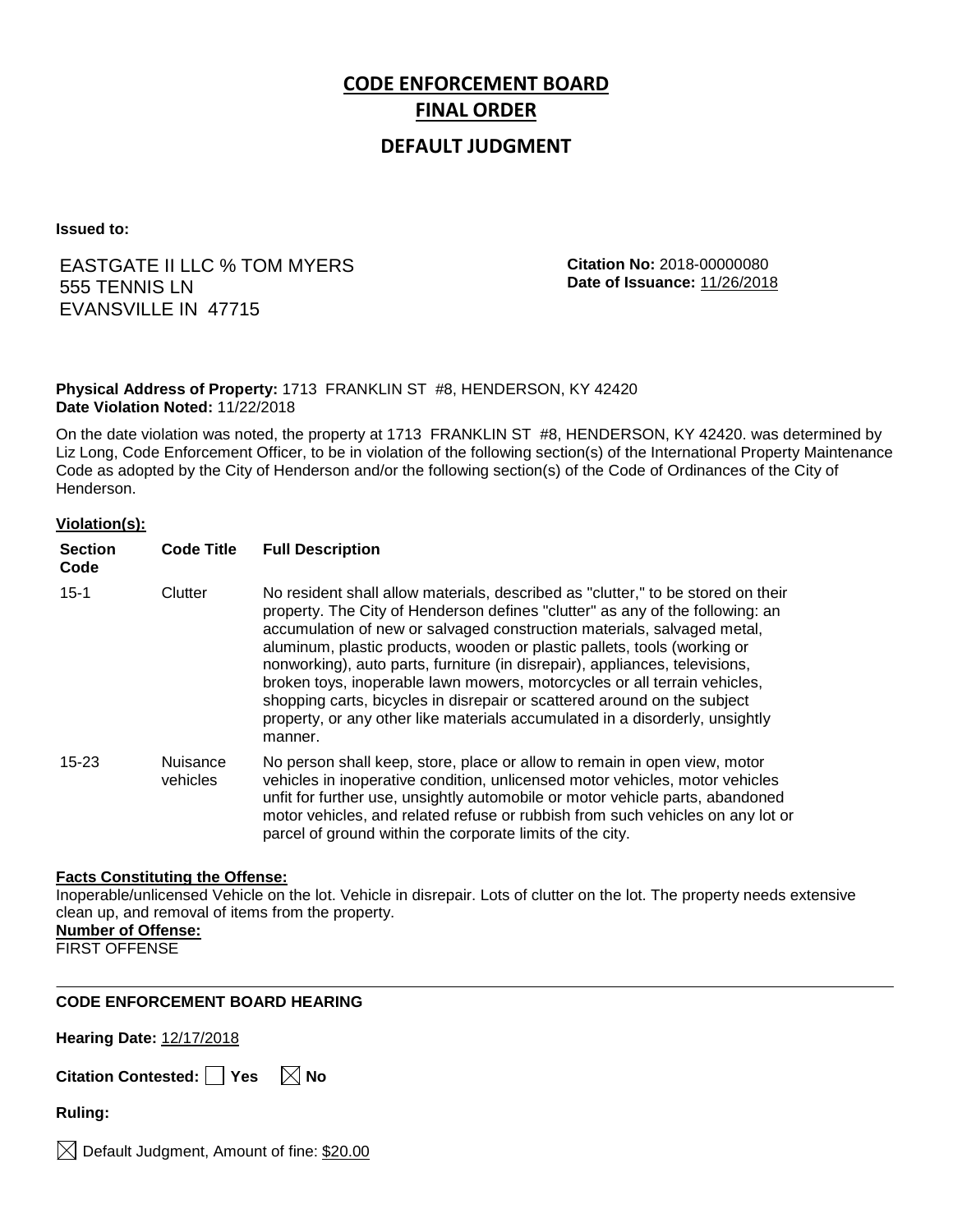# **CODE ENFORCEMENT BOARD FINAL ORDER**

### **DEFAULT JUDGMENT**

**Issued to:**

### EASTGATE II LLC % TOM MYERS 555 TENNIS LN EVANSVILLE IN 47715

**Citation No:** 2018-00000080 **Date of Issuance:** 11/26/2018

#### **Physical Address of Property:** 1713 FRANKLIN ST #8, HENDERSON, KY 42420 **Date Violation Noted:** 11/22/2018

On the date violation was noted, the property at 1713 FRANKLIN ST #8, HENDERSON, KY 42420. was determined by Liz Long, Code Enforcement Officer, to be in violation of the following section(s) of the International Property Maintenance Code as adopted by the City of Henderson and/or the following section(s) of the Code of Ordinances of the City of Henderson.

#### **Violation(s):**

| <b>Section</b><br>Code | <b>Code Title</b>           | <b>Full Description</b>                                                                                                                                                                                                                                                                                                                                                                                                                                                                                                                                                                                                                                     |  |
|------------------------|-----------------------------|-------------------------------------------------------------------------------------------------------------------------------------------------------------------------------------------------------------------------------------------------------------------------------------------------------------------------------------------------------------------------------------------------------------------------------------------------------------------------------------------------------------------------------------------------------------------------------------------------------------------------------------------------------------|--|
| $15 - 1$               | Clutter                     | No resident shall allow materials, described as "clutter," to be stored on their<br>property. The City of Henderson defines "clutter" as any of the following: an<br>accumulation of new or salvaged construction materials, salvaged metal,<br>aluminum, plastic products, wooden or plastic pallets, tools (working or<br>nonworking), auto parts, furniture (in disrepair), appliances, televisions,<br>broken toys, inoperable lawn mowers, motorcycles or all terrain vehicles,<br>shopping carts, bicycles in disrepair or scattered around on the subject<br>property, or any other like materials accumulated in a disorderly, unsightly<br>manner. |  |
| $15 - 23$              | <b>Nuisance</b><br>vehicles | No person shall keep, store, place or allow to remain in open view, motor<br>vehicles in inoperative condition, unlicensed motor vehicles, motor vehicles<br>unfit for further use, unsightly automobile or motor vehicle parts, abandoned<br>motor vehicles, and related refuse or rubbish from such vehicles on any lot or<br>parcel of ground within the corporate limits of the city.                                                                                                                                                                                                                                                                   |  |

#### **Facts Constituting the Offense:**

Inoperable/unlicensed Vehicle on the lot. Vehicle in disrepair. Lots of clutter on the lot. The property needs extensive clean up, and removal of items from the property.

**Number of Offense:**

FIRST OFFENSE

#### **CODE ENFORCEMENT BOARD HEARING**

**Hearing Date:** 12/17/2018

| Citation Contested: $\lceil$ |  | $\overline{\phantom{a}}$ Yes | $\boxtimes$ No |
|------------------------------|--|------------------------------|----------------|
|------------------------------|--|------------------------------|----------------|

**Ruling:**

 $\boxtimes$  Default Judgment, Amount of fine: \$20.00